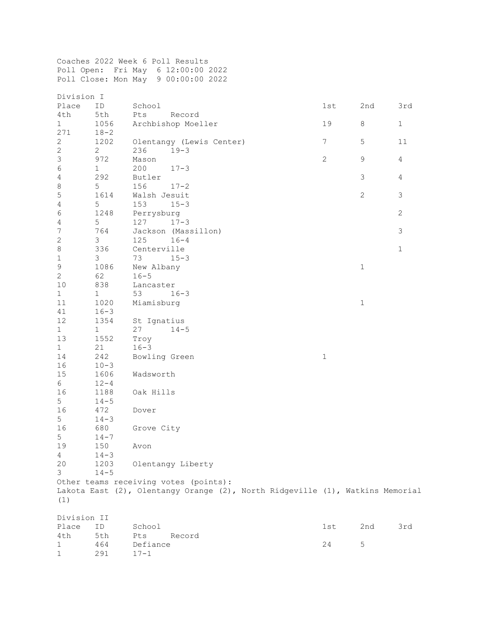Coaches 2022 Week 6 Poll Results Poll Open: Fri May 6 12:00:00 2022 Poll Close: Mon May 9 00:00:00 2022

| Division I       |                |                                                                               |                |                |                |  |  |
|------------------|----------------|-------------------------------------------------------------------------------|----------------|----------------|----------------|--|--|
| Place            | ID             | School                                                                        | 1st            | 2nd            | 3rd            |  |  |
| 4th              | 5th            | Pts<br>Record                                                                 |                |                |                |  |  |
| $\mathbf{1}$     | 1056           | Archbishop Moeller                                                            | 19             | $\,8\,$        | $1\,$          |  |  |
| 271              | $18 - 2$       |                                                                               |                |                |                |  |  |
| $\sqrt{2}$       | 1202           | Olentangy (Lewis Center)                                                      | $\overline{7}$ | 5              | 11             |  |  |
| $\sqrt{2}$       | $\overline{2}$ | 236<br>$19 - 3$                                                               |                |                |                |  |  |
| $\mathsf 3$      | 972            | Mason                                                                         | $\mathbf{2}$   | 9              | $\overline{4}$ |  |  |
| $\epsilon$       | 1              | 200<br>$17 - 3$                                                               |                |                |                |  |  |
| $\sqrt{4}$       | 292            | Butler                                                                        |                | $\mathfrak{Z}$ | $\overline{4}$ |  |  |
| $\,8\,$          | 5              | 156<br>$17 - 2$                                                               |                |                |                |  |  |
| $\mathsf S$      | 1614           | Walsh Jesuit                                                                  |                | $\mathbf{2}$   | $\mathfrak{Z}$ |  |  |
| $\sqrt{4}$       | 5              | 153<br>$15 - 3$                                                               |                |                |                |  |  |
| $\sqrt{6}$       | 1248           | Perrysburg                                                                    |                |                | $\overline{c}$ |  |  |
| $\sqrt{4}$       | 5              | 127<br>$17 - 3$                                                               |                |                |                |  |  |
| $\boldsymbol{7}$ | 764            | Jackson (Massillon)                                                           |                |                | $\mathfrak{Z}$ |  |  |
| $\sqrt{2}$       | 3              | 125<br>$16 - 4$                                                               |                |                |                |  |  |
| $\,8\,$          | 336            | Centerville                                                                   |                |                | $\mathbf 1$    |  |  |
| $\,1\,$          | 3              | 73<br>$15 - 3$                                                                |                |                |                |  |  |
| $\mathsf 9$      | 1086           | New Albany                                                                    |                | $1\,$          |                |  |  |
| $\mathbf{2}$     | 62             | $16 - 5$                                                                      |                |                |                |  |  |
| 10               | 838            | Lancaster                                                                     |                |                |                |  |  |
| $\mathbf 1$      | $\mathbf{1}$   | 53<br>$16 - 3$                                                                |                |                |                |  |  |
| 11               | 1020           | Miamisburg                                                                    |                | $\mathbf 1$    |                |  |  |
| 41               | $16 - 3$       |                                                                               |                |                |                |  |  |
| 12               | 1354           | St Ignatius                                                                   |                |                |                |  |  |
| $\mathbf{1}$     | $\mathbf 1$    | 27<br>$14 - 5$                                                                |                |                |                |  |  |
| 13               | 1552           | Troy                                                                          |                |                |                |  |  |
| $\mathbf{1}$     | 21             | $16 - 3$                                                                      |                |                |                |  |  |
| 14               | 242            | Bowling Green                                                                 | $1\,$          |                |                |  |  |
| 16               | $10 - 3$       |                                                                               |                |                |                |  |  |
| 15               | 1606           | Wadsworth                                                                     |                |                |                |  |  |
| $6\overline{6}$  | $12 - 4$       |                                                                               |                |                |                |  |  |
| 16               | 1188           | Oak Hills                                                                     |                |                |                |  |  |
| 5                | $14 - 5$       |                                                                               |                |                |                |  |  |
| 16               | 472            | Dover                                                                         |                |                |                |  |  |
| 5                | $14 - 3$       |                                                                               |                |                |                |  |  |
| 16               | 680            | Grove City                                                                    |                |                |                |  |  |
| 5                | $14 - 7$       |                                                                               |                |                |                |  |  |
| 19               | 150            | Avon                                                                          |                |                |                |  |  |
| 4                | $14 - 3$       |                                                                               |                |                |                |  |  |
| 20               | 1203           | Olentangy Liberty                                                             |                |                |                |  |  |
| 3                | $14 - 5$       |                                                                               |                |                |                |  |  |
|                  |                | Other teams receiving votes (points):                                         |                |                |                |  |  |
|                  |                | Lakota East (2), Olentangy Orange (2), North Ridgeville (1), Watkins Memorial |                |                |                |  |  |
| (1)              |                |                                                                               |                |                |                |  |  |
|                  |                |                                                                               |                |                |                |  |  |
| Division II      |                |                                                                               |                |                |                |  |  |
| Place            | ID             | School                                                                        | 1st            | 2nd            | 3rd            |  |  |
| 4th              | 5th            | Pts<br>Record                                                                 |                |                |                |  |  |
| 1                | 464            | Defiance                                                                      | 24             | 5              |                |  |  |
| 1                | 291            | $17 - 1$                                                                      |                |                |                |  |  |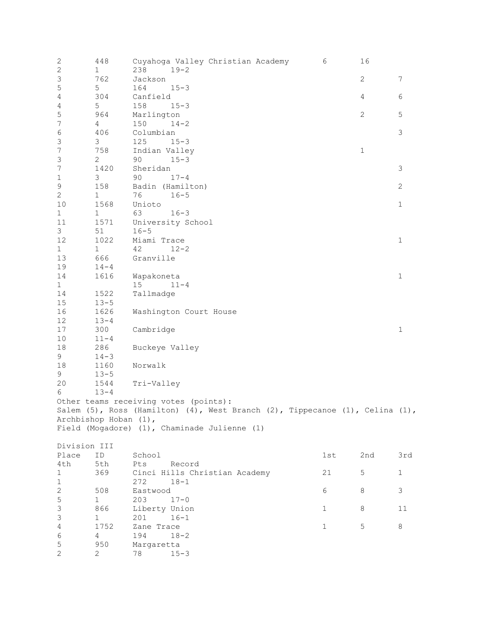| 2                         | 448                   |                                       |          | Cuyahoga Valley Christian Academy            |                                                                                             | 6           | 16           |              |
|---------------------------|-----------------------|---------------------------------------|----------|----------------------------------------------|---------------------------------------------------------------------------------------------|-------------|--------------|--------------|
| $\sqrt{2}$                | $\mathbf 1$           | 238                                   | $19 - 2$ |                                              |                                                                                             |             |              |              |
| $\mathsf 3$               | 762                   | Jackson                               |          |                                              |                                                                                             |             | $\mathbf{2}$ | 7            |
| $\mathsf S$               | 5                     | 164                                   | $15 - 3$ |                                              |                                                                                             |             |              |              |
| $\sqrt{4}$                | 304                   | Canfield                              |          |                                              |                                                                                             |             | 4            | 6            |
| $\sqrt{4}$                | 5                     | 158                                   | $15 - 3$ |                                              |                                                                                             |             |              |              |
| $\mathbf 5$               | 964                   | Marlington                            |          |                                              |                                                                                             |             | $\mathbf{2}$ | 5            |
| $\boldsymbol{7}$          | $\overline{4}$        | 150                                   | $14 - 2$ |                                              |                                                                                             |             |              |              |
| $\epsilon$                | 406                   | Columbian                             |          |                                              |                                                                                             |             |              | $\mathsf 3$  |
| $\mathfrak{Z}$            | 3                     | 125                                   | $15 - 3$ |                                              |                                                                                             |             |              |              |
| $\boldsymbol{7}$          | 758                   | Indian Valley                         |          |                                              |                                                                                             |             | $\mathbf 1$  |              |
| $\mathsf 3$               | 2                     | 90                                    | $15 - 3$ |                                              |                                                                                             |             |              |              |
| $\boldsymbol{7}$          | 1420                  | Sheridan                              |          |                                              |                                                                                             |             |              | 3            |
| $\mathbf 1$               | 3                     | 90                                    | $17 - 4$ |                                              |                                                                                             |             |              |              |
| $\mathsf 9$               | 158                   | Badin (Hamilton)                      |          |                                              |                                                                                             |             |              | $\mathbf{2}$ |
| $\mathbf{2}$              | $\mathbf 1$           | 76                                    | $16 - 5$ |                                              |                                                                                             |             |              |              |
| 10                        | 1568                  | Unioto                                |          |                                              |                                                                                             |             |              | $\mathbf 1$  |
| $\mathbf{1}$              | $\mathbf 1$           | 63                                    | $16 - 3$ |                                              |                                                                                             |             |              |              |
| 11                        | 1571                  | University School                     |          |                                              |                                                                                             |             |              |              |
| 3                         | 51                    | $16 - 5$                              |          |                                              |                                                                                             |             |              |              |
| 12                        | 1022                  | Miami Trace                           |          |                                              |                                                                                             |             |              | $1\,$        |
| $\mathbf{1}$              | $\mathbf 1$           | 42                                    | $12 - 2$ |                                              |                                                                                             |             |              |              |
| 13                        | 666                   | Granville                             |          |                                              |                                                                                             |             |              |              |
|                           |                       |                                       |          |                                              |                                                                                             |             |              |              |
| 19                        | $14 - 4$              |                                       |          |                                              |                                                                                             |             |              |              |
| 14                        | 1616                  | Wapakoneta                            |          |                                              |                                                                                             |             |              | $1\,$        |
| $\mathbf 1$               |                       | 15                                    | $11 - 4$ |                                              |                                                                                             |             |              |              |
| 14                        | 1522                  | Tallmadge                             |          |                                              |                                                                                             |             |              |              |
| $15\,$                    | $13 - 5$              |                                       |          |                                              |                                                                                             |             |              |              |
| 16                        | 1626                  | Washington Court House                |          |                                              |                                                                                             |             |              |              |
| 12                        | $13 - 4$              |                                       |          |                                              |                                                                                             |             |              |              |
| 17                        | 300                   | Cambridge                             |          |                                              |                                                                                             |             |              | $\mathbf 1$  |
| 10                        | $11 - 4$              |                                       |          |                                              |                                                                                             |             |              |              |
| 18                        | 286                   | Buckeye Valley                        |          |                                              |                                                                                             |             |              |              |
| 9                         | $14 - 3$              |                                       |          |                                              |                                                                                             |             |              |              |
| 18                        | 1160                  | Norwalk                               |          |                                              |                                                                                             |             |              |              |
| 9                         | $13 - 5$              |                                       |          |                                              |                                                                                             |             |              |              |
| 20                        | 1544                  | Tri-Valley                            |          |                                              |                                                                                             |             |              |              |
| 6                         | $13 - 4$              |                                       |          |                                              |                                                                                             |             |              |              |
|                           |                       | Other teams receiving votes (points): |          |                                              |                                                                                             |             |              |              |
|                           |                       |                                       |          |                                              | Salem $(5)$ , Ross (Hamilton) $(4)$ , West Branch $(2)$ , Tippecanoe $(1)$ , Celina $(1)$ , |             |              |              |
|                           | Archbishop Hoban (1), |                                       |          |                                              |                                                                                             |             |              |              |
|                           |                       |                                       |          | Field (Mogadore) (1), Chaminade Julienne (1) |                                                                                             |             |              |              |
|                           |                       |                                       |          |                                              |                                                                                             |             |              |              |
| Division III              |                       |                                       |          |                                              |                                                                                             |             |              |              |
| Place                     | ID                    | School                                |          |                                              |                                                                                             | 1st         | 2nd          | 3rd          |
|                           |                       |                                       |          |                                              |                                                                                             |             |              |              |
| 4th                       | 5th                   | Pts                                   | Record   |                                              |                                                                                             |             |              |              |
| 1                         | 369                   |                                       |          | Cinci Hills Christian Academy                |                                                                                             | 21          | 5            | $\mathbf{1}$ |
| 1                         |                       | 272                                   | $18 - 1$ |                                              |                                                                                             |             |              |              |
| $\mathbf 2$               | 508                   | Eastwood                              |          |                                              |                                                                                             | 6           | 8            | 3            |
| 5                         | 1                     | 203                                   | $17 - 0$ |                                              |                                                                                             |             |              |              |
| $\ensuremath{\mathsf{3}}$ | 866                   | Liberty Union                         |          |                                              |                                                                                             | 1           | 8            | 11           |
| $\mathsf 3$               | $\mathbf 1$           | 201                                   | $16 - 1$ |                                              |                                                                                             |             |              |              |
| 4                         | 1752                  | Zane Trace                            |          |                                              |                                                                                             | $\mathbf 1$ | 5            | 8            |
| 6                         | 4                     | 194                                   | $18 - 2$ |                                              |                                                                                             |             |              |              |
| 5                         | 950                   | Margaretta                            |          |                                              |                                                                                             |             |              |              |
| $\mathbf{2}$              | 2                     | 78                                    | $15 - 3$ |                                              |                                                                                             |             |              |              |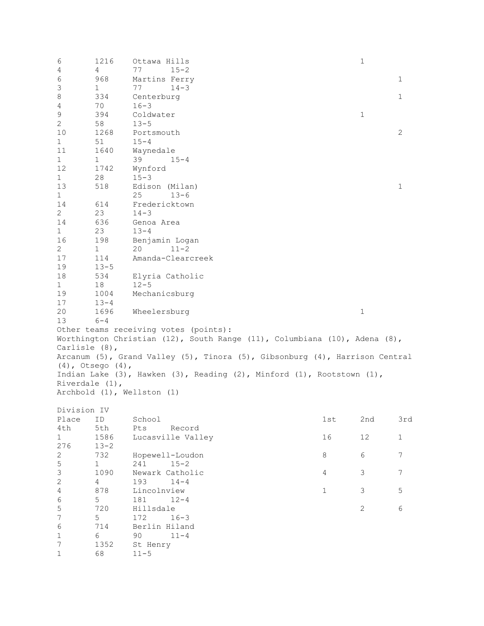6 1216 Ottawa Hills 1 4 4 77 15-2 6 968 Martins Ferry 1 3 1 77 14-3<br>8 334 Centerburg 8 334 Centerburg 1<br>4 70 16-3 4 70 16-3<br>9 394 Coldwater 9 394 Coldwater 1 2 58 13-5<br>10 1268 Ports 10 1268 Portsmouth 2<br>1 51 15-4 1 51 15-4<br>11 1640 Wayne 11 1640 Waynedale<br>1 1 39 19 1 1 39 15-4<br>12 1742 Wynford 12 1742 Wynford 1 28 15-3<br>13 518 Edisc 13 518 Edison (Milan) 1 1 25 13-6<br>14 614 Fredericktown 14 614 Fredericktown<br>2 23 14-3 2 23 14-3<br>14 636 Genoa 14 636 Genoa Area 1 23 13-4<br>16 198 Benja 16 198 Benjamin Logan 2 1 20 11-2<br>17 114 Amanda-Clear 17 114 Amanda-Clearcreek<br>19 13-5 19 13-5<br>18 534 Elyria Catholic 1 18 12-5<br>19 1004 Mecha 19 1004 Mechanicsburg<br>17 13-4 17 13-4<br>20 1696 20 1696 Wheelersburg 1  $6 - 4$ Other teams receiving votes (points): Worthington Christian (12), South Range (11), Columbiana (10), Adena (8), Carlisle (8), Arcanum (5), Grand Valley (5), Tinora (5), Gibsonburg (4), Harrison Central (4), Otsego (4), Indian Lake (3), Hawken (3), Reading (2), Minford (1), Rootstown (1), Riverdale (1), Archbold (1), Wellston (1) Division IV<br>Place ID Place ID School 1st 2nd 3rd 4th 5th Pts Record<br>1 1586 Lucasville Val 1 1586 Lucasville Valley 16 12 1<br>276 13-2 276 13-2 2 732 Hopewell-Loudon 8 6 7 5 1 241 15-2<br>3 1090 Newark Catho. 3 1090 Newark Catholic 4 3 7 2 4 193 14-4<br>4 878 Lincolnview 4 878 Lincolnview 1 3 5 6 5 181 12-4 5 720 Hillsdale 2 6<br>7 5 172 16-3 7 5 172 16-3<br>6 714 Berlin Hilan 6 714 Berlin Hiland 1 6 90 11-4<br>7 1352 St Henry 7 1352 St Henry<br>1 68 11-5  $11 - 5$